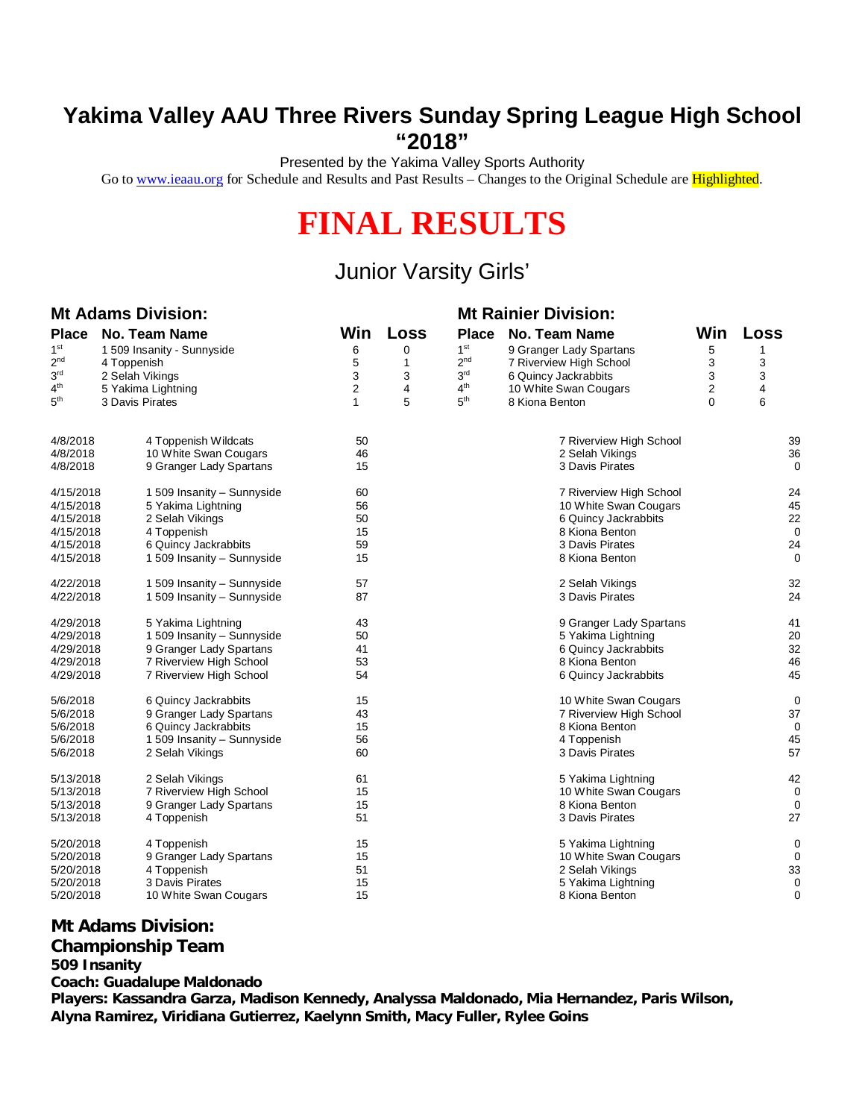# **Yakima Valley AAU Three Rivers Sunday Spring League High School "2018"**

Presented by the Yakima Valley Sports Authority

Go to [www.ieaau.org](http://www.ieaau.org) for Schedule and Results and Past Results – Changes to the Original Schedule are Highlighted.

# **FINAL RESULTS**

# Junior Varsity Girls'

## **Mt Adams Division: Mt Rainier Division:**

| <b>Place</b>    | No. Team Name              | Win | Loss | Place           | No. Team Name           | Win      | <b>Loss</b> |
|-----------------|----------------------------|-----|------|-----------------|-------------------------|----------|-------------|
| 1 <sup>st</sup> | 1 509 Insanity - Sunnyside | 6   | 0    | 1 <sup>st</sup> | 9 Granger Lady Spartans | 5        | 1           |
| 2 <sup>nd</sup> | 4 Toppenish                | 5   | 1    | 2 <sub>nd</sub> | 7 Riverview High School | 3        | 3           |
| 3 <sup>rd</sup> | 2 Selah Vikings            | 3   | 3    | 3 <sup>rd</sup> | 6 Quincy Jackrabbits    | 3        | 3           |
| 4 <sup>th</sup> | 5 Yakima Lightning         | 2   | 4    | 4 <sup>th</sup> | 10 White Swan Cougars   | 2        | 4           |
| 5 <sup>th</sup> | 3 Davis Pirates            | 1   | 5    | 5 <sup>th</sup> | 8 Kiona Benton          | $\Omega$ | 6           |
|                 |                            |     |      |                 |                         |          |             |
| 4/8/2018        | 4 Toppenish Wildcats       | 50  |      |                 | 7 Riverview High School |          | 39          |
| 4/8/2018        | 10 White Swan Cougars      | 46  |      |                 | 2 Selah Vikings         |          | 36          |
| 4/8/2018        | 9 Granger Lady Spartans    | 15  |      |                 | 3 Davis Pirates         |          | $\mathbf 0$ |
| 4/15/2018       | 1 509 Insanity - Sunnyside | 60  |      |                 | 7 Riverview High School |          | 24          |
| 4/15/2018       | 5 Yakima Lightning         | 56  |      |                 | 10 White Swan Cougars   |          | 45          |
| 4/15/2018       | 2 Selah Vikings            | 50  |      |                 | 6 Quincy Jackrabbits    |          | 22          |
| 4/15/2018       | 4 Toppenish                | 15  |      |                 | 8 Kiona Benton          |          | 0           |
| 4/15/2018       | 6 Quincy Jackrabbits       | 59  |      |                 | 3 Davis Pirates         |          | 24          |
| 4/15/2018       | 1 509 Insanity - Sunnyside | 15  |      |                 | 8 Kiona Benton          |          | 0           |
| 4/22/2018       | 1 509 Insanity - Sunnyside | 57  |      |                 | 2 Selah Vikings         |          | 32          |
| 4/22/2018       | 1 509 Insanity - Sunnyside | 87  |      |                 | 3 Davis Pirates         |          | 24          |
| 4/29/2018       | 5 Yakima Lightning         | 43  |      |                 | 9 Granger Lady Spartans |          | 41          |
| 4/29/2018       | 1 509 Insanity - Sunnyside | 50  |      |                 | 5 Yakima Lightning      |          | 20          |
| 4/29/2018       | 9 Granger Lady Spartans    | 41  |      |                 | 6 Quincy Jackrabbits    |          | 32          |
| 4/29/2018       | 7 Riverview High School    | 53  |      |                 | 8 Kiona Benton          |          | 46          |
| 4/29/2018       | 7 Riverview High School    | 54  |      |                 | 6 Quincy Jackrabbits    |          | 45          |
| 5/6/2018        | 6 Quincy Jackrabbits       | 15  |      |                 | 10 White Swan Cougars   |          | 0           |
| 5/6/2018        | 9 Granger Lady Spartans    | 43  |      |                 | 7 Riverview High School |          | 37          |
| 5/6/2018        | 6 Quincy Jackrabbits       | 15  |      |                 | 8 Kiona Benton          |          | 0           |
| 5/6/2018        | 1 509 Insanity - Sunnyside | 56  |      |                 | 4 Toppenish             |          | 45          |
| 5/6/2018        | 2 Selah Vikings            | 60  |      |                 | 3 Davis Pirates         |          | 57          |
| 5/13/2018       | 2 Selah Vikings            | 61  |      |                 | 5 Yakima Lightning      |          | 42          |
| 5/13/2018       | 7 Riverview High School    | 15  |      |                 | 10 White Swan Cougars   |          | 0           |
| 5/13/2018       | 9 Granger Lady Spartans    | 15  |      |                 | 8 Kiona Benton          |          | 0           |
| 5/13/2018       | 4 Toppenish                | 51  |      |                 | 3 Davis Pirates         |          | 27          |
| 5/20/2018       | 4 Toppenish                | 15  |      |                 | 5 Yakima Lightning      |          | 0           |
| 5/20/2018       | 9 Granger Lady Spartans    | 15  |      |                 | 10 White Swan Cougars   |          | 0           |
| 5/20/2018       | 4 Toppenish                | 51  |      |                 | 2 Selah Vikings         |          | 33          |
| 5/20/2018       | 3 Davis Pirates            | 15  |      |                 | 5 Yakima Lightning      |          | 0           |
| 5/20/2018       | 10 White Swan Cougars      | 15  |      |                 | 8 Kiona Benton          |          | $\mathbf 0$ |

### **Mt Adams Division: Championship Team**

#### **509 Insanity**

**Coach: Guadalupe Maldonado**

**Players: Kassandra Garza, Madison Kennedy, Analyssa Maldonado, Mia Hernandez, Paris Wilson, Alyna Ramirez, Viridiana Gutierrez, Kaelynn Smith, Macy Fuller, Rylee Goins**